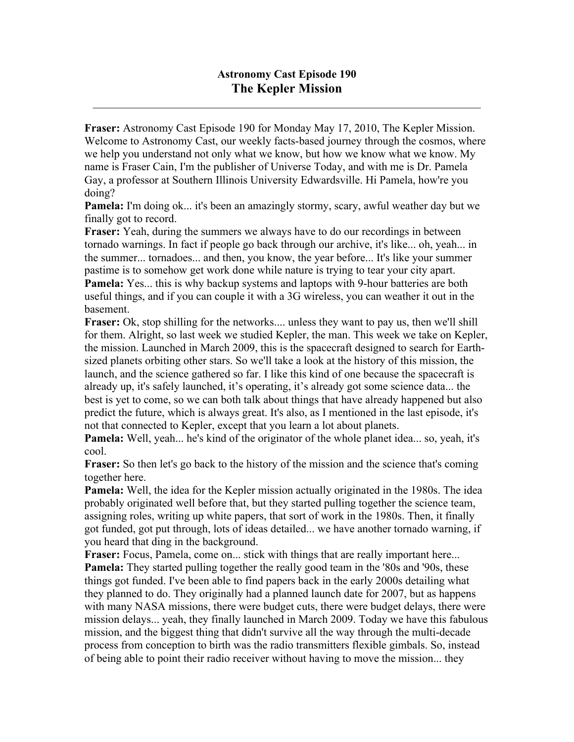$\mathcal{L}_\mathcal{L} = \mathcal{L}_\mathcal{L} = \mathcal{L}_\mathcal{L} = \mathcal{L}_\mathcal{L} = \mathcal{L}_\mathcal{L} = \mathcal{L}_\mathcal{L} = \mathcal{L}_\mathcal{L} = \mathcal{L}_\mathcal{L} = \mathcal{L}_\mathcal{L} = \mathcal{L}_\mathcal{L} = \mathcal{L}_\mathcal{L} = \mathcal{L}_\mathcal{L} = \mathcal{L}_\mathcal{L} = \mathcal{L}_\mathcal{L} = \mathcal{L}_\mathcal{L} = \mathcal{L}_\mathcal{L} = \mathcal{L}_\mathcal{L}$ 

**Fraser:** Astronomy Cast Episode 190 for Monday May 17, 2010, The Kepler Mission. Welcome to Astronomy Cast, our weekly facts-based journey through the cosmos, where we help you understand not only what we know, but how we know what we know. My name is Fraser Cain, I'm the publisher of Universe Today, and with me is Dr. Pamela Gay, a professor at Southern Illinois University Edwardsville. Hi Pamela, how're you doing?

**Pamela:** I'm doing ok... it's been an amazingly stormy, scary, awful weather day but we finally got to record.

**Fraser:** Yeah, during the summers we always have to do our recordings in between tornado warnings. In fact if people go back through our archive, it's like... oh, yeah... in the summer... tornadoes... and then, you know, the year before... It's like your summer pastime is to somehow get work done while nature is trying to tear your city apart.

**Pamela:** Yes... this is why backup systems and laptops with 9-hour batteries are both useful things, and if you can couple it with a 3G wireless, you can weather it out in the basement.

**Fraser:** Ok, stop shilling for the networks.... unless they want to pay us, then we'll shill for them. Alright, so last week we studied Kepler, the man. This week we take on Kepler, the mission. Launched in March 2009, this is the spacecraft designed to search for Earthsized planets orbiting other stars. So we'll take a look at the history of this mission, the launch, and the science gathered so far. I like this kind of one because the spacecraft is already up, it's safely launched, it's operating, it's already got some science data... the best is yet to come, so we can both talk about things that have already happened but also predict the future, which is always great. It's also, as I mentioned in the last episode, it's not that connected to Kepler, except that you learn a lot about planets.

**Pamela:** Well, yeah... he's kind of the originator of the whole planet idea... so, yeah, it's cool.

**Fraser:** So then let's go back to the history of the mission and the science that's coming together here.

**Pamela:** Well, the idea for the Kepler mission actually originated in the 1980s. The idea probably originated well before that, but they started pulling together the science team, assigning roles, writing up white papers, that sort of work in the 1980s. Then, it finally got funded, got put through, lots of ideas detailed... we have another tornado warning, if you heard that ding in the background.

**Fraser:** Focus, Pamela, come on... stick with things that are really important here... **Pamela:** They started pulling together the really good team in the '80s and '90s, these things got funded. I've been able to find papers back in the early 2000s detailing what they planned to do. They originally had a planned launch date for 2007, but as happens with many NASA missions, there were budget cuts, there were budget delays, there were mission delays... yeah, they finally launched in March 2009. Today we have this fabulous mission, and the biggest thing that didn't survive all the way through the multi-decade process from conception to birth was the radio transmitters flexible gimbals. So, instead of being able to point their radio receiver without having to move the mission... they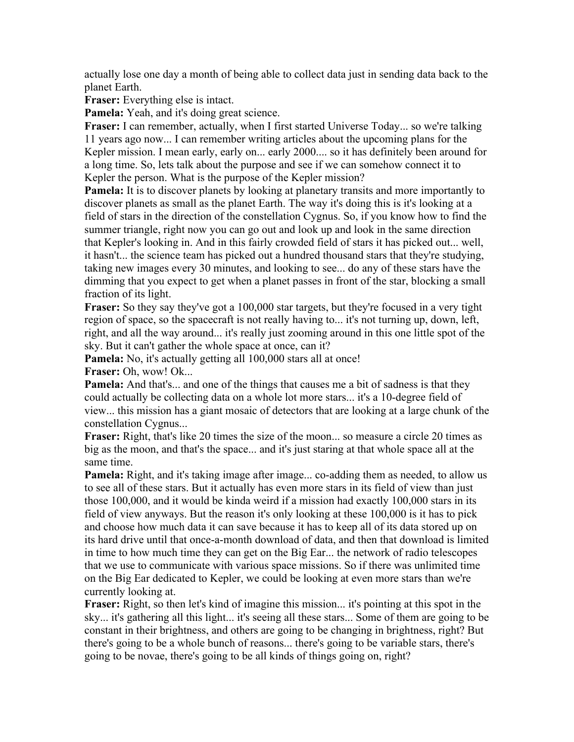actually lose one day a month of being able to collect data just in sending data back to the planet Earth.

**Fraser:** Everything else is intact.

**Pamela:** Yeah, and it's doing great science.

**Fraser:** I can remember, actually, when I first started Universe Today... so we're talking 11 years ago now... I can remember writing articles about the upcoming plans for the Kepler mission. I mean early, early on... early 2000.... so it has definitely been around for a long time. So, lets talk about the purpose and see if we can somehow connect it to Kepler the person. What is the purpose of the Kepler mission?

**Pamela:** It is to discover planets by looking at planetary transits and more importantly to discover planets as small as the planet Earth. The way it's doing this is it's looking at a field of stars in the direction of the constellation Cygnus. So, if you know how to find the summer triangle, right now you can go out and look up and look in the same direction that Kepler's looking in. And in this fairly crowded field of stars it has picked out... well, it hasn't... the science team has picked out a hundred thousand stars that they're studying, taking new images every 30 minutes, and looking to see... do any of these stars have the dimming that you expect to get when a planet passes in front of the star, blocking a small fraction of its light.

**Fraser:** So they say they've got a 100,000 star targets, but they're focused in a very tight region of space, so the spacecraft is not really having to... it's not turning up, down, left, right, and all the way around... it's really just zooming around in this one little spot of the sky. But it can't gather the whole space at once, can it?

**Pamela:** No, it's actually getting all 100,000 stars all at once! **Fraser:** Oh, wow! Ok...

**Pamela:** And that's... and one of the things that causes me a bit of sadness is that they could actually be collecting data on a whole lot more stars... it's a 10-degree field of view... this mission has a giant mosaic of detectors that are looking at a large chunk of the constellation Cygnus...

**Fraser:** Right, that's like 20 times the size of the moon... so measure a circle 20 times as big as the moon, and that's the space... and it's just staring at that whole space all at the same time.

**Pamela:** Right, and it's taking image after image... co-adding them as needed, to allow us to see all of these stars. But it actually has even more stars in its field of view than just those 100,000, and it would be kinda weird if a mission had exactly 100,000 stars in its field of view anyways. But the reason it's only looking at these 100,000 is it has to pick and choose how much data it can save because it has to keep all of its data stored up on its hard drive until that once-a-month download of data, and then that download is limited in time to how much time they can get on the Big Ear... the network of radio telescopes that we use to communicate with various space missions. So if there was unlimited time on the Big Ear dedicated to Kepler, we could be looking at even more stars than we're currently looking at.

**Fraser:** Right, so then let's kind of imagine this mission... it's pointing at this spot in the sky... it's gathering all this light... it's seeing all these stars... Some of them are going to be constant in their brightness, and others are going to be changing in brightness, right? But there's going to be a whole bunch of reasons... there's going to be variable stars, there's going to be novae, there's going to be all kinds of things going on, right?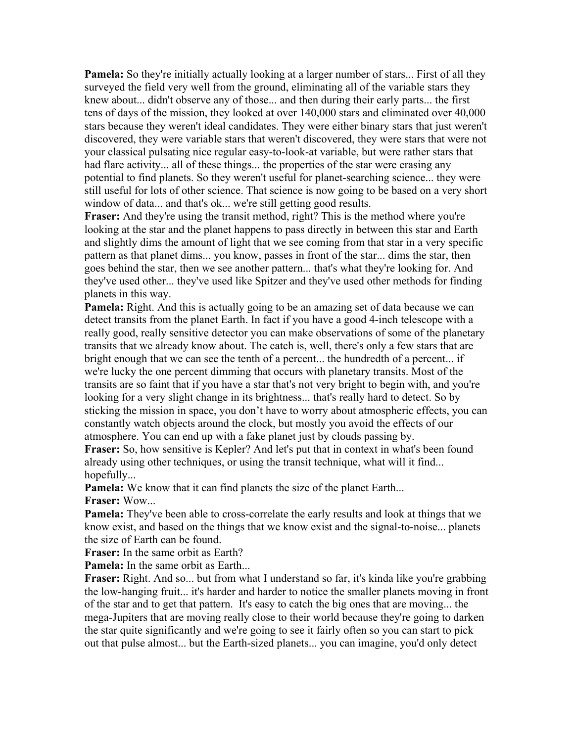**Pamela:** So they're initially actually looking at a larger number of stars... First of all they surveyed the field very well from the ground, eliminating all of the variable stars they knew about... didn't observe any of those... and then during their early parts... the first tens of days of the mission, they looked at over 140,000 stars and eliminated over 40,000 stars because they weren't ideal candidates. They were either binary stars that just weren't discovered, they were variable stars that weren't discovered, they were stars that were not your classical pulsating nice regular easy-to-look-at variable, but were rather stars that had flare activity... all of these things... the properties of the star were erasing any potential to find planets. So they weren't useful for planet-searching science... they were still useful for lots of other science. That science is now going to be based on a very short window of data... and that's ok... we're still getting good results.

**Fraser:** And they're using the transit method, right? This is the method where you're looking at the star and the planet happens to pass directly in between this star and Earth and slightly dims the amount of light that we see coming from that star in a very specific pattern as that planet dims... you know, passes in front of the star... dims the star, then goes behind the star, then we see another pattern... that's what they're looking for. And they've used other... they've used like Spitzer and they've used other methods for finding planets in this way.

**Pamela:** Right. And this is actually going to be an amazing set of data because we can detect transits from the planet Earth. In fact if you have a good 4-inch telescope with a really good, really sensitive detector you can make observations of some of the planetary transits that we already know about. The catch is, well, there's only a few stars that are bright enough that we can see the tenth of a percent... the hundredth of a percent... if we're lucky the one percent dimming that occurs with planetary transits. Most of the transits are so faint that if you have a star that's not very bright to begin with, and you're looking for a very slight change in its brightness... that's really hard to detect. So by sticking the mission in space, you don't have to worry about atmospheric effects, you can constantly watch objects around the clock, but mostly you avoid the effects of our atmosphere. You can end up with a fake planet just by clouds passing by.

**Fraser:** So, how sensitive is Kepler? And let's put that in context in what's been found already using other techniques, or using the transit technique, what will it find... hopefully...

**Pamela:** We know that it can find planets the size of the planet Earth... **Fraser:** Wow...

**Pamela:** They've been able to cross-correlate the early results and look at things that we know exist, and based on the things that we know exist and the signal-to-noise... planets the size of Earth can be found.

**Fraser:** In the same orbit as Earth?

**Pamela:** In the same orbit as Earth...

**Fraser:** Right. And so... but from what I understand so far, it's kinda like you're grabbing the low-hanging fruit... it's harder and harder to notice the smaller planets moving in front of the star and to get that pattern. It's easy to catch the big ones that are moving... the mega-Jupiters that are moving really close to their world because they're going to darken the star quite significantly and we're going to see it fairly often so you can start to pick out that pulse almost... but the Earth-sized planets... you can imagine, you'd only detect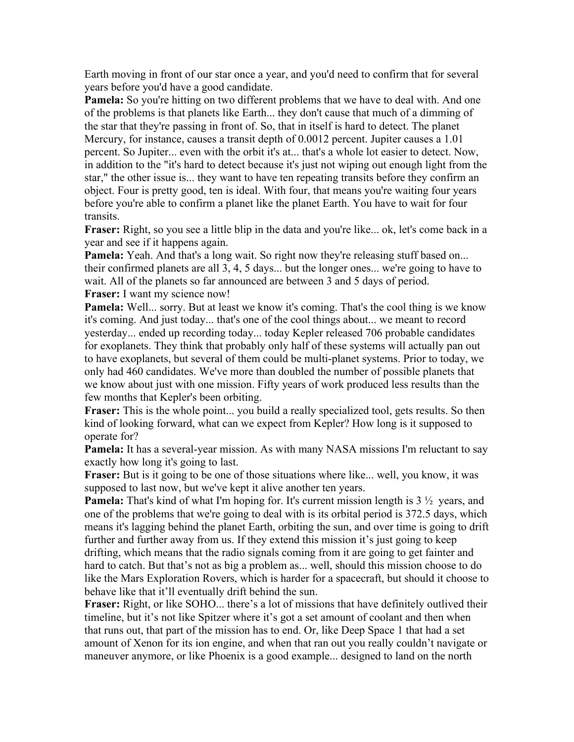Earth moving in front of our star once a year, and you'd need to confirm that for several years before you'd have a good candidate.

**Pamela:** So you're hitting on two different problems that we have to deal with. And one of the problems is that planets like Earth... they don't cause that much of a dimming of the star that they're passing in front of. So, that in itself is hard to detect. The planet Mercury, for instance, causes a transit depth of 0.0012 percent. Jupiter causes a 1.01 percent. So Jupiter... even with the orbit it's at... that's a whole lot easier to detect. Now, in addition to the "it's hard to detect because it's just not wiping out enough light from the star," the other issue is... they want to have ten repeating transits before they confirm an object. Four is pretty good, ten is ideal. With four, that means you're waiting four years before you're able to confirm a planet like the planet Earth. You have to wait for four transits.

**Fraser:** Right, so you see a little blip in the data and you're like... ok, let's come back in a year and see if it happens again.

**Pamela:** Yeah. And that's a long wait. So right now they're releasing stuff based on... their confirmed planets are all 3, 4, 5 days... but the longer ones... we're going to have to wait. All of the planets so far announced are between 3 and 5 days of period. **Fraser:** I want my science now!

**Pamela:** Well... sorry. But at least we know it's coming. That's the cool thing is we know it's coming. And just today... that's one of the cool things about... we meant to record yesterday... ended up recording today... today Kepler released 706 probable candidates for exoplanets. They think that probably only half of these systems will actually pan out to have exoplanets, but several of them could be multi-planet systems. Prior to today, we only had 460 candidates. We've more than doubled the number of possible planets that we know about just with one mission. Fifty years of work produced less results than the few months that Kepler's been orbiting.

**Fraser:** This is the whole point... you build a really specialized tool, gets results. So then kind of looking forward, what can we expect from Kepler? How long is it supposed to operate for?

**Pamela:** It has a several-year mission. As with many NASA missions I'm reluctant to say exactly how long it's going to last.

**Fraser:** But is it going to be one of those situations where like... well, you know, it was supposed to last now, but we've kept it alive another ten years.

**Pamela:** That's kind of what I'm hoping for. It's current mission length is 3  $\frac{1}{2}$  years, and one of the problems that we're going to deal with is its orbital period is 372.5 days, which means it's lagging behind the planet Earth, orbiting the sun, and over time is going to drift further and further away from us. If they extend this mission it's just going to keep drifting, which means that the radio signals coming from it are going to get fainter and hard to catch. But that's not as big a problem as... well, should this mission choose to do like the Mars Exploration Rovers, which is harder for a spacecraft, but should it choose to behave like that it'll eventually drift behind the sun.

**Fraser:** Right, or like SOHO... there's a lot of missions that have definitely outlived their timeline, but it's not like Spitzer where it's got a set amount of coolant and then when that runs out, that part of the mission has to end. Or, like Deep Space 1 that had a set amount of Xenon for its ion engine, and when that ran out you really couldn't navigate or maneuver anymore, or like Phoenix is a good example... designed to land on the north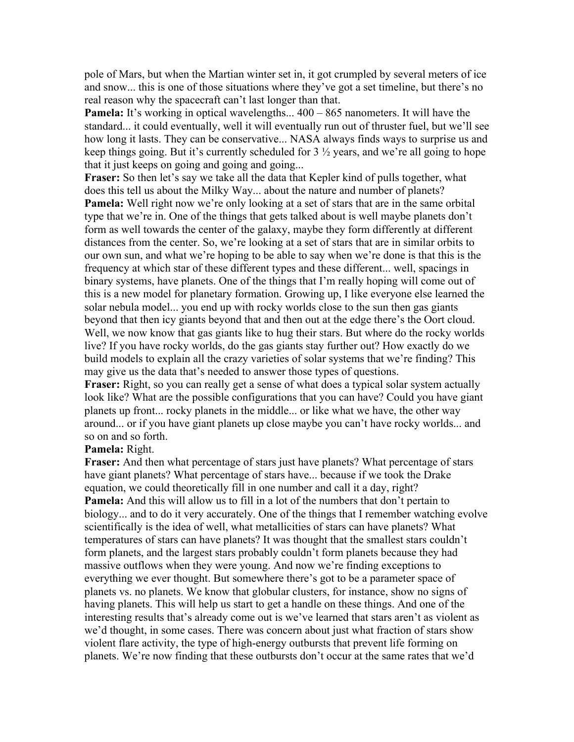pole of Mars, but when the Martian winter set in, it got crumpled by several meters of ice and snow... this is one of those situations where they've got a set timeline, but there's no real reason why the spacecraft can't last longer than that.

**Pamela:** It's working in optical wavelengths...  $400 - 865$  nanometers. It will have the standard... it could eventually, well it will eventually run out of thruster fuel, but we'll see how long it lasts. They can be conservative... NASA always finds ways to surprise us and keep things going. But it's currently scheduled for 3 ½ years, and we're all going to hope that it just keeps on going and going and going...

**Fraser:** So then let's say we take all the data that Kepler kind of pulls together, what does this tell us about the Milky Way... about the nature and number of planets? **Pamela:** Well right now we're only looking at a set of stars that are in the same orbital type that we're in. One of the things that gets talked about is well maybe planets don't form as well towards the center of the galaxy, maybe they form differently at different distances from the center. So, we're looking at a set of stars that are in similar orbits to our own sun, and what we're hoping to be able to say when we're done is that this is the frequency at which star of these different types and these different... well, spacings in binary systems, have planets. One of the things that I'm really hoping will come out of this is a new model for planetary formation. Growing up, I like everyone else learned the solar nebula model... you end up with rocky worlds close to the sun then gas giants beyond that then icy giants beyond that and then out at the edge there's the Oort cloud. Well, we now know that gas giants like to hug their stars. But where do the rocky worlds live? If you have rocky worlds, do the gas giants stay further out? How exactly do we build models to explain all the crazy varieties of solar systems that we're finding? This may give us the data that's needed to answer those types of questions.

**Fraser:** Right, so you can really get a sense of what does a typical solar system actually look like? What are the possible configurations that you can have? Could you have giant planets up front... rocky planets in the middle... or like what we have, the other way around... or if you have giant planets up close maybe you can't have rocky worlds... and so on and so forth.

## **Pamela:** Right.

**Fraser:** And then what percentage of stars just have planets? What percentage of stars have giant planets? What percentage of stars have... because if we took the Drake equation, we could theoretically fill in one number and call it a day, right? **Pamela:** And this will allow us to fill in a lot of the numbers that don't pertain to biology... and to do it very accurately. One of the things that I remember watching evolve scientifically is the idea of well, what metallicities of stars can have planets? What temperatures of stars can have planets? It was thought that the smallest stars couldn't form planets, and the largest stars probably couldn't form planets because they had massive outflows when they were young. And now we're finding exceptions to everything we ever thought. But somewhere there's got to be a parameter space of planets vs. no planets. We know that globular clusters, for instance, show no signs of having planets. This will help us start to get a handle on these things. And one of the interesting results that's already come out is we've learned that stars aren't as violent as we'd thought, in some cases. There was concern about just what fraction of stars show violent flare activity, the type of high-energy outbursts that prevent life forming on planets. We're now finding that these outbursts don't occur at the same rates that we'd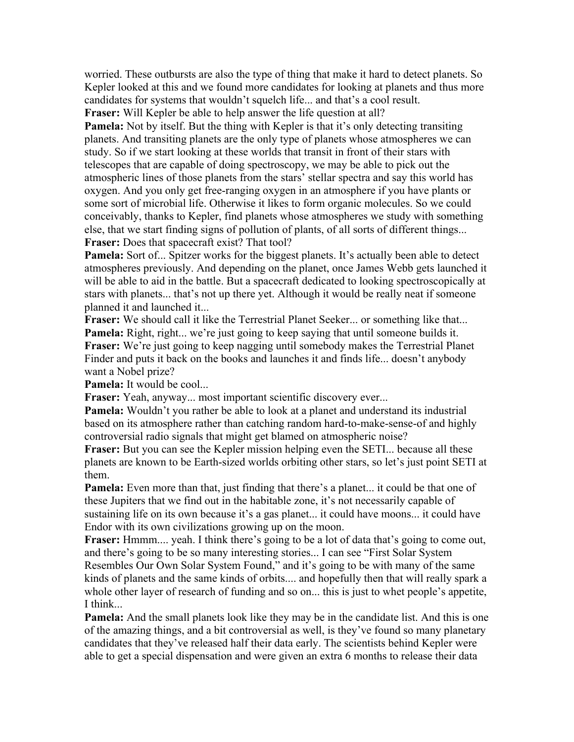worried. These outbursts are also the type of thing that make it hard to detect planets. So Kepler looked at this and we found more candidates for looking at planets and thus more candidates for systems that wouldn't squelch life... and that's a cool result.

**Fraser:** Will Kepler be able to help answer the life question at all?

**Pamela:** Not by itself. But the thing with Kepler is that it's only detecting transiting planets. And transiting planets are the only type of planets whose atmospheres we can study. So if we start looking at these worlds that transit in front of their stars with telescopes that are capable of doing spectroscopy, we may be able to pick out the atmospheric lines of those planets from the stars' stellar spectra and say this world has oxygen. And you only get free-ranging oxygen in an atmosphere if you have plants or some sort of microbial life. Otherwise it likes to form organic molecules. So we could conceivably, thanks to Kepler, find planets whose atmospheres we study with something else, that we start finding signs of pollution of plants, of all sorts of different things... **Fraser:** Does that spacecraft exist? That tool?

**Pamela:** Sort of... Spitzer works for the biggest planets. It's actually been able to detect atmospheres previously. And depending on the planet, once James Webb gets launched it will be able to aid in the battle. But a spacecraft dedicated to looking spectroscopically at stars with planets... that's not up there yet. Although it would be really neat if someone planned it and launched it...

**Fraser:** We should call it like the Terrestrial Planet Seeker... or something like that... **Pamela:** Right, right... we're just going to keep saying that until someone builds it. **Fraser:** We're just going to keep nagging until somebody makes the Terrestrial Planet Finder and puts it back on the books and launches it and finds life... doesn't anybody want a Nobel prize?

**Pamela:** It would be cool...

**Fraser:** Yeah, anyway... most important scientific discovery ever...

**Pamela:** Wouldn't you rather be able to look at a planet and understand its industrial based on its atmosphere rather than catching random hard-to-make-sense-of and highly controversial radio signals that might get blamed on atmospheric noise?

**Fraser:** But you can see the Kepler mission helping even the SETI... because all these planets are known to be Earth-sized worlds orbiting other stars, so let's just point SETI at them.

**Pamela:** Even more than that, just finding that there's a planet... it could be that one of these Jupiters that we find out in the habitable zone, it's not necessarily capable of sustaining life on its own because it's a gas planet... it could have moons... it could have Endor with its own civilizations growing up on the moon.

**Fraser:** Hmmm.... yeah. I think there's going to be a lot of data that's going to come out, and there's going to be so many interesting stories... I can see "First Solar System Resembles Our Own Solar System Found," and it's going to be with many of the same kinds of planets and the same kinds of orbits.... and hopefully then that will really spark a whole other layer of research of funding and so on... this is just to whet people's appetite, I think...

**Pamela:** And the small planets look like they may be in the candidate list. And this is one of the amazing things, and a bit controversial as well, is they've found so many planetary candidates that they've released half their data early. The scientists behind Kepler were able to get a special dispensation and were given an extra 6 months to release their data